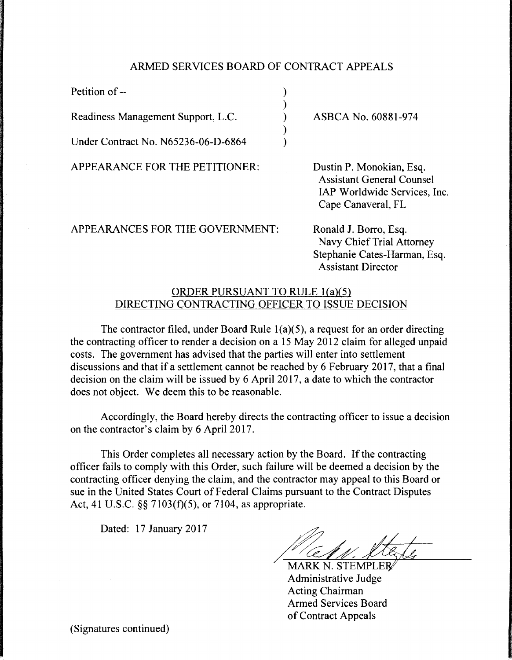## ARMED SERVICES BOARD OF CONTRACT APPEALS

) ) ) ) )

Petition of --

Readiness Management Support, L.C.

Under Contract No. N65236-06-D-6864

APPEARANCE FOR THE PETITIONER:

ASBCA No. 60881-974

Dustin P. Monokian, Esq. Assistant General Counsel IAP Worldwide Services, Inc. Cape Canaveral, FL

APPEARANCES FOR THE GOVERNMENT:

Ronald J. Borro, Esq. Navy Chief Trial Attorney Stephanie Cates-Harman, Esq. Assistant Director

## ORDER PURSUANT TO RULE l(a)(5) DIRECTING CONTRACTING OFFICER TO ISSUE DECISION

The contractor filed, under Board Rule  $1(a)(5)$ , a request for an order directing the contracting officer to render a decision on a 15 May 2012 claim for alleged unpaid costs. The government has advised that the parties will enter into settlement discussions and that if a settlement cannot be reached by 6 February 2017, that a final decision on the claim will be issued by 6 April 2017, a date to which the contractor does not object. We deem this to be reasonable.

Accordingly, the Board hereby directs the contracting officer to issue a decision on the contractor's claim by 6 April 2017.

This Order completes all necessary action by the Board. If the contracting officer fails to comply with this Order, such failure will be deemed a decision by the contracting officer denying the claim, and the contractor may appeal to this Board or sue in the United States Court of Federal Claims pursuant to the Contract Disputes Act, 41 U.S.C. §§ 7103(f)(5), or 7104, as appropriate.

Dated: 17 January 2017

MARK N. STEMPLER<br>Administrative Judge Acting Chairman Armed Services Board of Contract Appeals

(Signatures continued)